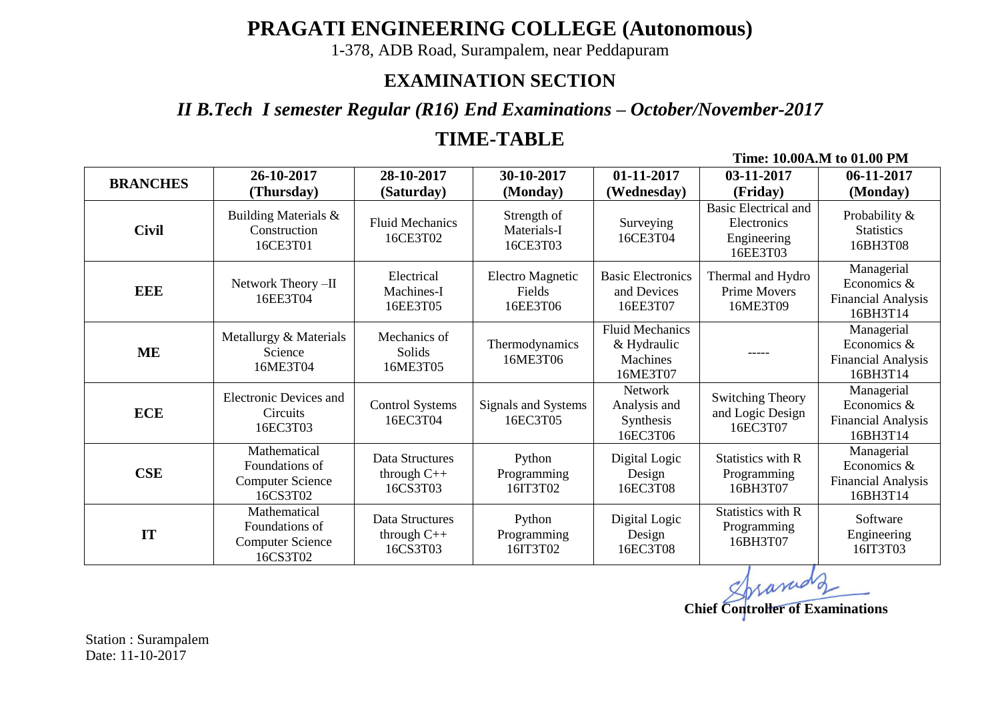# **PRAGATI ENGINEERING COLLEGE (Autonomous)**

1-378, ADB Road, Surampalem, near Peddapuram

### **EXAMINATION SECTION**

*II B.Tech I semester Regular (R16) End Examinations – October/November-2017*

## **TIME-TABLE**

**Time: 10.00A.M to 01.00 PM**

| <b>BRANCHES</b> | 26-10-2017                                                            | 28-10-2017                                       | 30-10-2017                                         | 01-11-2017                                                    | 03-11-2017                                                                        | 06-11-2017                                                         |
|-----------------|-----------------------------------------------------------------------|--------------------------------------------------|----------------------------------------------------|---------------------------------------------------------------|-----------------------------------------------------------------------------------|--------------------------------------------------------------------|
| <b>Civil</b>    | (Thursday)<br>Building Materials &<br>Construction<br>16CE3T01        | (Saturday)<br><b>Fluid Mechanics</b><br>16CE3T02 | (Monday)<br>Strength of<br>Materials-I<br>16CE3T03 | (Wednesday)<br>Surveying<br>16CE3T04                          | (Friday)<br><b>Basic Electrical and</b><br>Electronics<br>Engineering<br>16EE3T03 | (Monday)<br>Probability &<br><b>Statistics</b><br>16BH3T08         |
| <b>EEE</b>      | Network Theory -II<br>16EE3T04                                        | Electrical<br>Machines-I<br>16EE3T05             | <b>Electro Magnetic</b><br>Fields<br>16EE3T06      | <b>Basic Electronics</b><br>and Devices<br>16EE3T07           | Thermal and Hydro<br><b>Prime Movers</b><br>16ME3T09                              | Managerial<br>Economics &<br><b>Financial Analysis</b><br>16BH3T14 |
| ME              | Metallurgy & Materials<br>Science<br>16ME3T04                         | Mechanics of<br>Solids<br>16ME3T05               | Thermodynamics<br>16ME3T06                         | <b>Fluid Mechanics</b><br>& Hydraulic<br>Machines<br>16ME3T07 | -----                                                                             | Managerial<br>Economics &<br><b>Financial Analysis</b><br>16BH3T14 |
| <b>ECE</b>      | <b>Electronic Devices and</b><br><b>Circuits</b><br>16EC3T03          | <b>Control Systems</b><br>16EC3T04               | Signals and Systems<br>16EC3T05                    | <b>Network</b><br>Analysis and<br>Synthesis<br>16EC3T06       | <b>Switching Theory</b><br>and Logic Design<br>16EC3T07                           | Managerial<br>Economics &<br><b>Financial Analysis</b><br>16BH3T14 |
| <b>CSE</b>      | Mathematical<br>Foundations of<br><b>Computer Science</b><br>16CS3T02 | Data Structures<br>through C++<br>16CS3T03       | Python<br>Programming<br>16IT3T02                  | Digital Logic<br>Design<br>16EC3T08                           | Statistics with R<br>Programming<br>16BH3T07                                      | Managerial<br>Economics &<br><b>Financial Analysis</b><br>16BH3T14 |
| IT              | Mathematical<br>Foundations of<br><b>Computer Science</b><br>16CS3T02 | Data Structures<br>through $C++$<br>16CS3T03     | Python<br>Programming<br>16IT3T02                  | Digital Logic<br>Design<br>16EC3T08                           | Statistics with R<br>Programming<br>16BH3T07                                      | Software<br>Engineering<br>16IT3T03                                |

Spranud **Chief Controller of Examinations**

Station : Surampalem Date: 11-10-2017